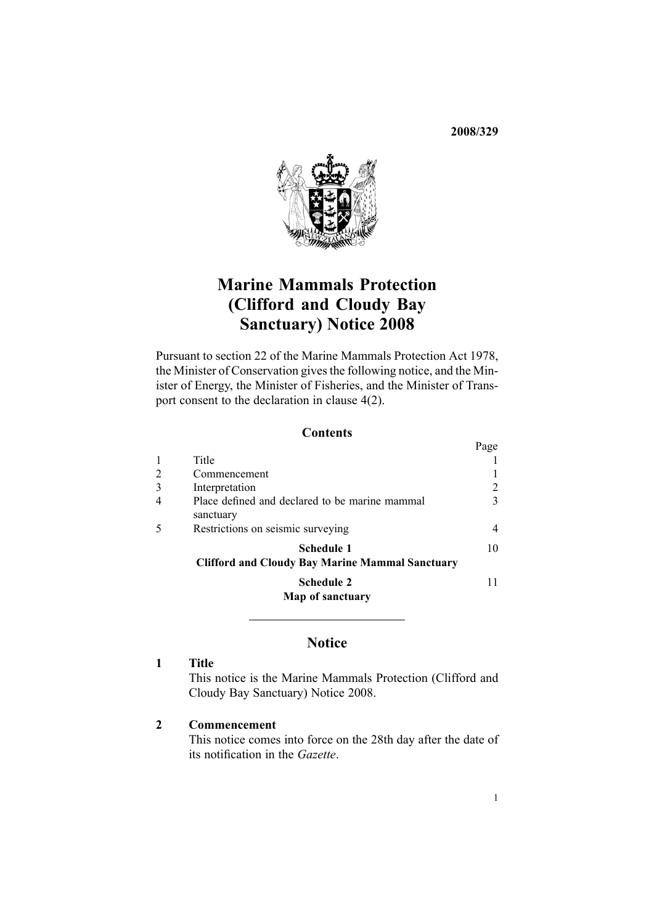**2008/329**



# **Marine Mammals Protection (Clifford and Cloudy Bay Sanctuary) Notice <sup>2008</sup>**

Pursuant to [section](http://www.legislation.govt.nz/pdfLink.aspx?id=DLM25372) <sup>22</sup> of the Marine Mammals Protection Act 1978, the Minister of Conservation <sup>g</sup>ives the following notice, and the Minister of Energy, the Minister of Fisheries, and the Minister of Transpor<sup>t</sup> consent to the declaration in [clause](#page-2-0) 4(2).

#### **Contents**

|   |                                                                      | Page |
|---|----------------------------------------------------------------------|------|
|   | Title                                                                |      |
| 2 | Commencement                                                         |      |
| 3 | Interpretation                                                       |      |
| 4 | Place defined and declared to be marine mammal<br>sanctuary          |      |
| 5 | Restrictions on seismic surveying                                    |      |
|   | Schedule 1<br><b>Clifford and Cloudy Bay Marine Mammal Sanctuary</b> | 10   |
|   | <b>Schedule 2</b><br>Map of sanctuary                                |      |
|   |                                                                      |      |

### **Notice**

### **<sup>1</sup> Title**

This notice is the Marine Mammals Protection (Clifford and Cloudy Bay Sanctuary) Notice 2008.

#### **<sup>2</sup> Commencement**

This notice comes into force on the 28th day after the date of its notification in the *Gazette*.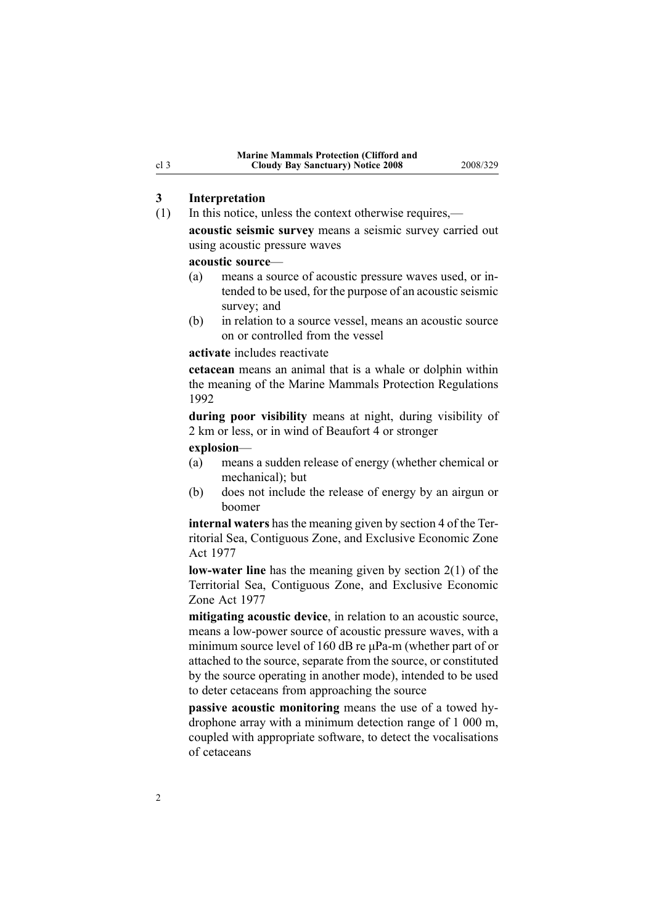# **3 Interpretation**<br>(1) In this notice, u

- In this notice, unless the context otherwise requires,
	- **acoustic seismic survey** means <sup>a</sup> seismic survey carried out using acoustic pressure waves

# **acoustic source—**<br>(a) means a sou

- means a source of acoustic pressure waves used, or intended to be used, for the purpose of an acoustic seismic survey; and
- (b) in relation to <sup>a</sup> source vessel, means an acoustic source on or controlled from the vessel

#### **activate** includes reactivate

**cetacean** means an animal that is <sup>a</sup> whale or dolphin within the meaning of the Marine Mammals Protection Regulations 1992

**during poor visibility** means at night, during visibility of <sup>2</sup> km or less, or in wind of Beaufort <sup>4</sup> or stronger

**explosion**—

- (a) means <sup>a</sup> sudden release of energy (whether chemical or mechanical); but
- (b) does not include the release of energy by an airgun or boomer

**internal waters** has the meaning <sup>g</sup>iven by [section](http://www.legislation.govt.nz/pdfLink.aspx?id=DLM442667) <sup>4</sup> of the Territorial Sea, Contiguous Zone, and Exclusive Economic Zone Act <sup>1977</sup>

**low-water line** has the meaning given by [section](http://www.legislation.govt.nz/pdfLink.aspx?id=DLM442587)  $2(1)$  of the Territorial Sea, Contiguous Zone, and Exclusive Economic Zone Act <sup>1977</sup>

**mitigating acoustic device**, in relation to an acoustic source, means a low-power source of acoustic pressure waves, with a minimum source level of 160 dB re uPa-m (whether part of or attached to the source, separate from the source, or constituted by the source operating in another mode), intended to be used to deter cetaceans from approaching the source

**passive acoustic monitoring** means the use of a towed hydrophone array with <sup>a</sup> minimum detection range of <sup>1</sup> <sup>000</sup> m, coupled with appropriate software, to detect the vocalisations of cetaceans

<span id="page-1-0"></span>cl 3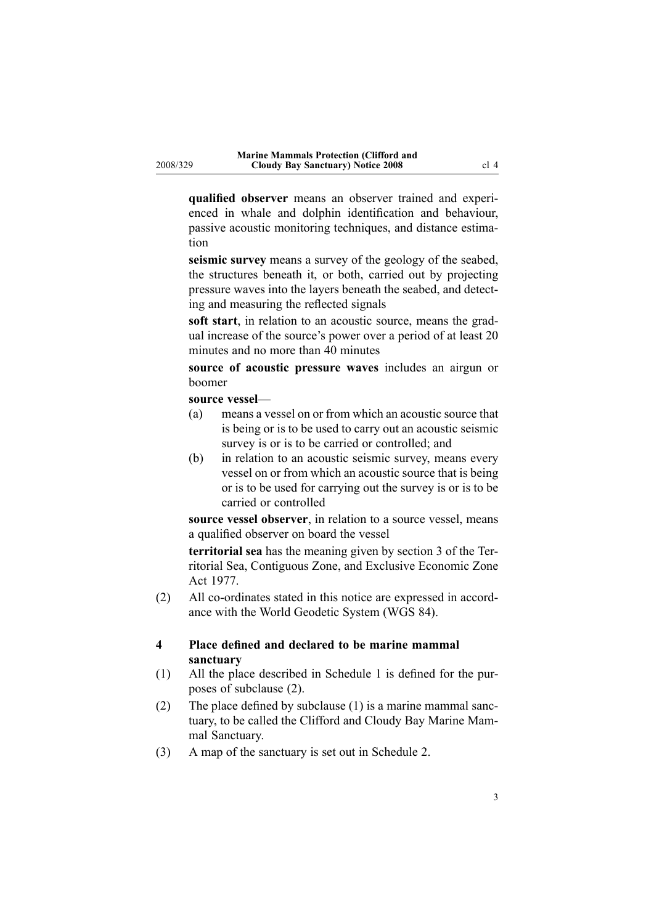<span id="page-2-0"></span>**qualified observer** means an observer trained and experienced in whale and dolphin identification and behaviour, passive acoustic monitoring techniques, and distance estimation

**seismic survey** means a survey of the geology of the seabed, the structures beneath it, or both, carried out by projecting pressure waves into the layers beneath the seabed, and detecting and measuring the reflected signals

**soft start**, in relation to an acoustic source, means the gradual increase of the source's power over <sup>a</sup> period of at least <sup>20</sup> minutes and no more than <sup>40</sup> minutes

**source of acoustic pressure waves** includes an airgun or boomer

# **source vessel—**<br>(a) means a **v**

- means a vessel on or from which an acoustic source that is being or is to be used to carry out an acoustic seismic survey is or is to be carried or controlled; and
- (b) in relation to an acoustic seismic survey, means every vessel on or from which an acoustic source that is being or is to be used for carrying out the survey is or is to be carried or controlled

**source vessel observer**, in relation to <sup>a</sup> source vessel, means <sup>a</sup> qualified observer on board the vessel

**territorial sea** has the meaning <sup>g</sup>iven by [section](http://www.legislation.govt.nz/pdfLink.aspx?id=DLM442665) <sup>3</sup> of the Territorial Sea, Contiguous Zone, and Exclusive Economic Zone Act 1977.

 $(2)$  All co-ordinates stated in this notice are expressed in accordance with the World Geodetic System (WGS 84).

#### **<sup>4</sup> Place defined and declared to be marine mammal sanctuary**

- (1) All the <sup>p</sup>lace described in [Schedule](#page-9-0) <sup>1</sup> is defined for the purposes of subclause (2).
- (2) The <sup>p</sup>lace defined by subclause (1) is <sup>a</sup> marine mammal sanctuary, to be called the Clifford and Cloudy Bay Marine Mammal Sanctuary.
- (3) <sup>A</sup> map of the sanctuary is set out in [Schedule](#page-9-0) 2.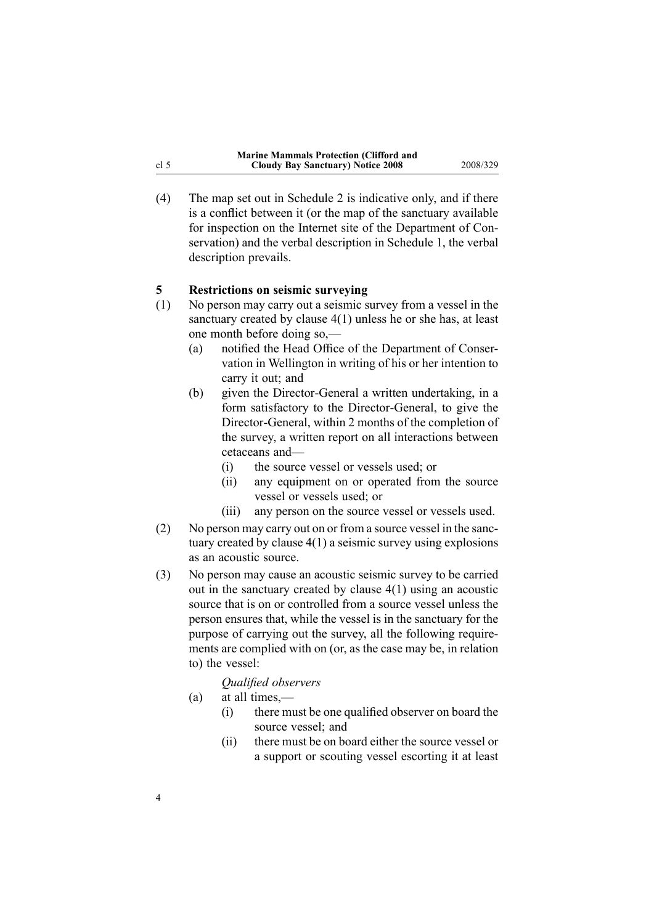<span id="page-3-0"></span>(4) The map set out in [Schedule](#page-9-0) <sup>2</sup> is indicative only, and if there is <sup>a</sup> conflict between it (or the map of the sanctuary available for inspection on the Internet site of the Department of Conservation) and the verbal description in [Schedule](#page-9-0) 1, the verbal description prevails.

# **5 Restrictions on seismic surveying**<br>
(1) No person may carry out a seismic s

- No person may carry out a seismic survey from a vessel in the sanctuary created by [clause](#page-2-0) 4(1) unless he or she has, at least one month before doing so,—<br>(a) notified the Head Office
	- notified the Head Office of the Department of Conservation in Wellington in writing of his or her intention to carry it out; and
	- (b) given the Director-General a written undertaking, in a form satisfactory to the Director-General, to give the Director-General, within 2 months of the completion of the survey, <sup>a</sup> written repor<sup>t</sup> on all interactions between cetaceans and—<br>(i) the source
		- (i) the source vessel or vessels used; or<br>(ii) any equipment on or operated from
		- any equipment on or operated from the source vessel or vessels used; or
		- (iii) any person on the source vessel or vessels used.
- (2) No person may carry out on or from <sup>a</sup> source vessel in the sanctuary created by [clause](#page-2-0) 4(1) <sup>a</sup> seismic survey using explosions as an acoustic source.
- (3) No person may cause an acoustic seismic survey to be carried out in the sanctuary created by [clause](#page-2-0) 4(1) using an acoustic source that is on or controlled from <sup>a</sup> source vessel unless the person ensures that, while the vessel is in the sanctuary for the purpose of carrying out the survey, all the following requirements are complied with on (or, as the case may be, in relation to) the vessel:

#### *Qualified observers*

- (a) at all times,—<br>(i) there mu
	- there must be one qualified observer on board the source vessel; and
	- (ii) there must be on board either the source vessel or <sup>a</sup> suppor<sup>t</sup> or scouting vessel escorting it at least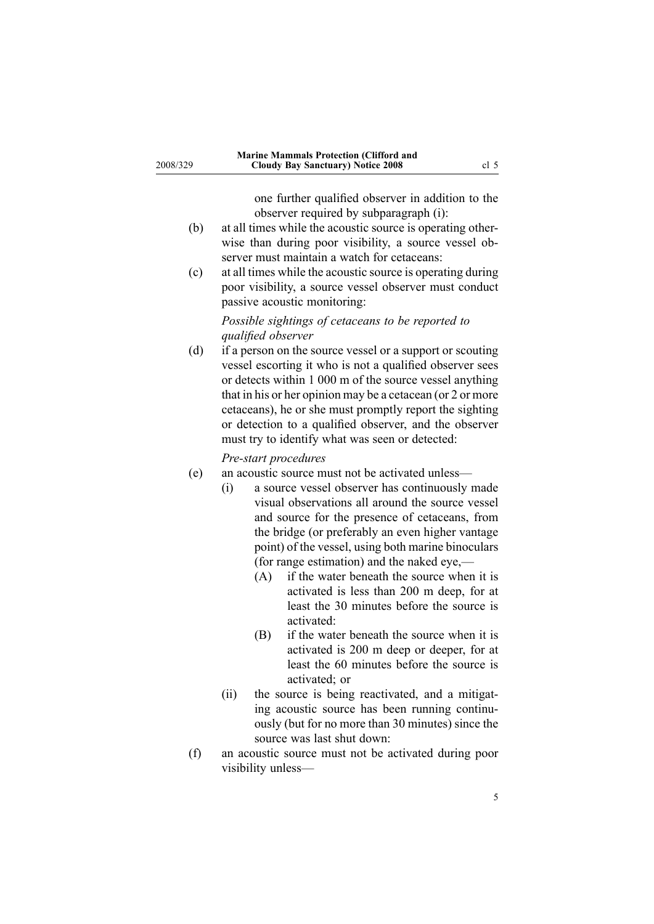one further qualified observer in addition to the observer required by subparagraph (i):

- (b) at all times while the acoustic source is operating otherwise than during poor visibility, <sup>a</sup> source vessel observer must maintain <sup>a</sup> watch for cetaceans:
- (c) at all times while the acoustic source is operating during poor visibility, <sup>a</sup> source vessel observer must conduct passive acoustic monitoring:

### *Possible sightings of cetaceans to be reported to qualified observer*

(d) if <sup>a</sup> person on the source vessel or <sup>a</sup> suppor<sup>t</sup> or scouting vessel escorting it who is not <sup>a</sup> qualified observer sees or detects within <sup>1</sup> <sup>000</sup> <sup>m</sup> of the source vessel anything that in his or her opinion may be <sup>a</sup> cetacean (or <sup>2</sup> or more cetaceans), he or she must promptly repor<sup>t</sup> the sighting or detection to <sup>a</sup> qualified observer, and the observer must try to identify what was seen or detected:

#### *Prestart procedures*

- (e) an acoustic source must not be activated unless—<br>(i) a source vessel observer has continuously
	- a source vessel observer has continuously made visual observations all around the source vessel and source for the presence of cetaceans, from the bridge (or preferably an even higher vantage point) of the vessel, using both marine binoculars (for range estimation) and the naked eye,— $(A)$  if the water beneath the source when
		- if the water beneath the source when it is activated is less than <sup>200</sup> <sup>m</sup> deep, for at least the <sup>30</sup> minutes before the source is activated:
		- (B) if the water beneath the source when it is activated is <sup>200</sup> <sup>m</sup> deep or deeper, for at least the <sup>60</sup> minutes before the source is activated; or
	- (ii) the source is being reactivated, and <sup>a</sup> mitigating acoustic source has been running continuously (but for no more than <sup>30</sup> minutes) since the source was last shut down:
- (f) an acoustic source must not be activated during poor visibility unless—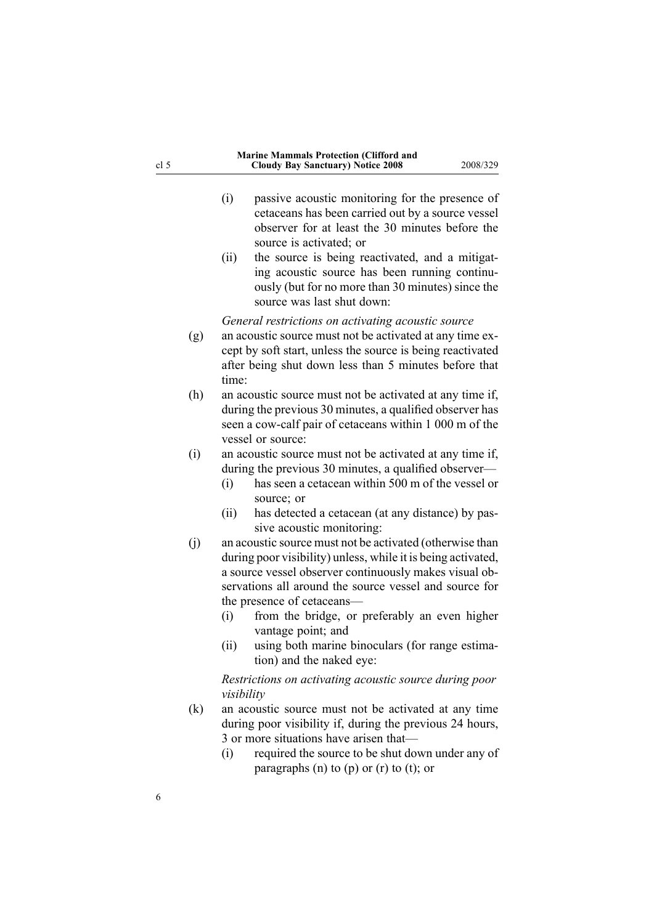|                   | passive acoustic monitoring for the presence of<br>(i)<br>cetaceans has been carried out by a source vessel<br>observer for at least the 30 minutes before the<br>source is activated; or<br>the source is being reactivated, and a mitigat-<br>(ii)                                                                                                                                                                                                                         |
|-------------------|------------------------------------------------------------------------------------------------------------------------------------------------------------------------------------------------------------------------------------------------------------------------------------------------------------------------------------------------------------------------------------------------------------------------------------------------------------------------------|
|                   | ing acoustic source has been running continu-<br>ously (but for no more than 30 minutes) since the<br>source was last shut down:                                                                                                                                                                                                                                                                                                                                             |
| (g)               | General restrictions on activating acoustic source<br>an acoustic source must not be activated at any time ex-<br>cept by soft start, unless the source is being reactivated<br>after being shut down less than 5 minutes before that<br>time:                                                                                                                                                                                                                               |
| (h)               | an acoustic source must not be activated at any time if,<br>during the previous 30 minutes, a qualified observer has<br>seen a cow-calf pair of cetaceans within 1 000 m of the<br>vessel or source:                                                                                                                                                                                                                                                                         |
| (i)               | an acoustic source must not be activated at any time if,<br>during the previous 30 minutes, a qualified observer—<br>has seen a cetacean within 500 m of the vessel or<br>(i)<br>source; or<br>has detected a cetacean (at any distance) by pas-<br>(ii)                                                                                                                                                                                                                     |
| (j)               | sive acoustic monitoring:<br>an acoustic source must not be activated (otherwise than<br>during poor visibility) unless, while it is being activated,<br>a source vessel observer continuously makes visual ob-<br>servations all around the source vessel and source for<br>the presence of cetaceans-<br>from the bridge, or preferably an even higher<br>(i)<br>vantage point; and<br>using both marine binoculars (for range estima-<br>(ii)<br>tion) and the naked eye: |
| $\left( k\right)$ | Restrictions on activating acoustic source during poor<br>visibility<br>an acoustic source must not be activated at any time<br>during poor visibility if, during the previous 24 hours,<br>3 or more situations have arisen that-<br>required the source to be shut down under any of<br>(i)<br>paragraphs (n) to (p) or (r) to (t); or                                                                                                                                     |

cl 5

6

#### **Marine Mammals Protection (Clifford and Cloudy Bay Sanctuary) Notice <sup>2008</sup>** 2008/329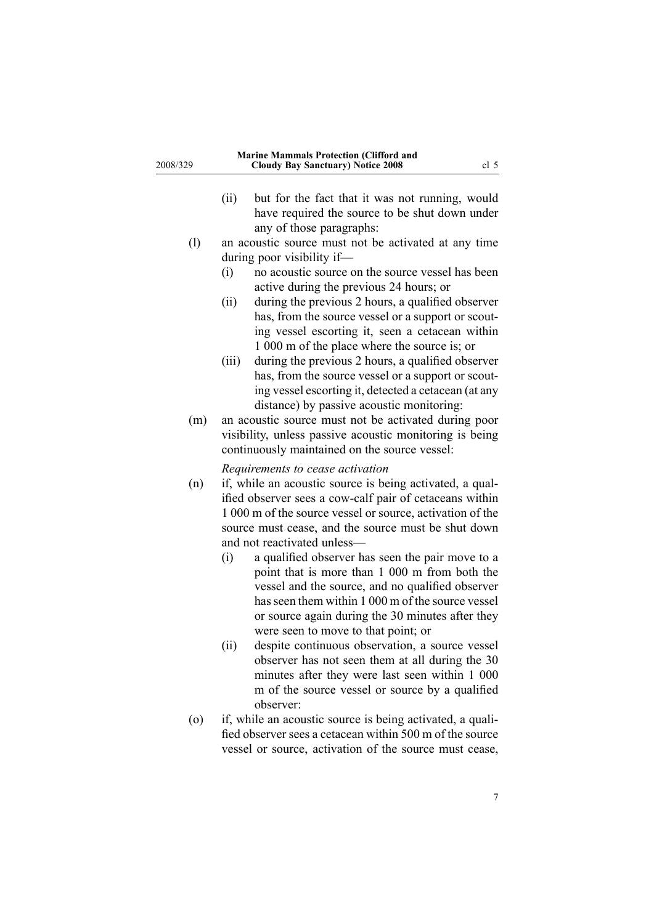| 2008/329           | <b>Marine Mammals Protection (Clifford and</b><br><b>Cloudy Bay Sanctuary) Notice 2008</b><br>cl <sub>5</sub>                                                                                                                                                                                                                                                           |  |
|--------------------|-------------------------------------------------------------------------------------------------------------------------------------------------------------------------------------------------------------------------------------------------------------------------------------------------------------------------------------------------------------------------|--|
|                    | (ii)<br>but for the fact that it was not running, would<br>have required the source to be shut down under<br>any of those paragraphs:                                                                                                                                                                                                                                   |  |
| (1)                | an acoustic source must not be activated at any time                                                                                                                                                                                                                                                                                                                    |  |
|                    | during poor visibility if-                                                                                                                                                                                                                                                                                                                                              |  |
|                    | no acoustic source on the source vessel has been<br>(i)                                                                                                                                                                                                                                                                                                                 |  |
|                    | active during the previous 24 hours; or                                                                                                                                                                                                                                                                                                                                 |  |
|                    | during the previous 2 hours, a qualified observer<br>(ii)<br>has, from the source vessel or a support or scout-<br>ing vessel escorting it, seen a cetacean within<br>1 000 m of the place where the source is; or                                                                                                                                                      |  |
|                    | during the previous 2 hours, a qualified observer<br>(iii)<br>has, from the source vessel or a support or scout-<br>ing vessel escorting it, detected a cetacean (at any<br>distance) by passive acoustic monitoring:                                                                                                                                                   |  |
| (m)                | an acoustic source must not be activated during poor<br>visibility, unless passive acoustic monitoring is being<br>continuously maintained on the source vessel:                                                                                                                                                                                                        |  |
| (n)                | Requirements to cease activation<br>if, while an acoustic source is being activated, a qual-<br>ified observer sees a cow-calf pair of cetaceans within<br>1 000 m of the source vessel or source, activation of the<br>source must cease, and the source must be shut down<br>and not reactivated unless-                                                              |  |
|                    | (i)<br>a qualified observer has seen the pair move to a<br>point that is more than 1 000 m from both the<br>vessel and the source, and no qualified observer<br>has seen them within 1 000 m of the source vessel<br>or source again during the 30 minutes after they<br>were seen to move to that point; or<br>(ii)<br>despite continuous observation, a source vessel |  |
| $\left( 0 \right)$ | observer has not seen them at all during the 30<br>minutes after they were last seen within 1 000<br>m of the source vessel or source by a qualified<br>observer:<br>if, while an acoustic source is being activated, a quali-                                                                                                                                          |  |
|                    | fied observer sees a cetacean within 500 m of the source<br>vessel or source, activation of the source must cease,                                                                                                                                                                                                                                                      |  |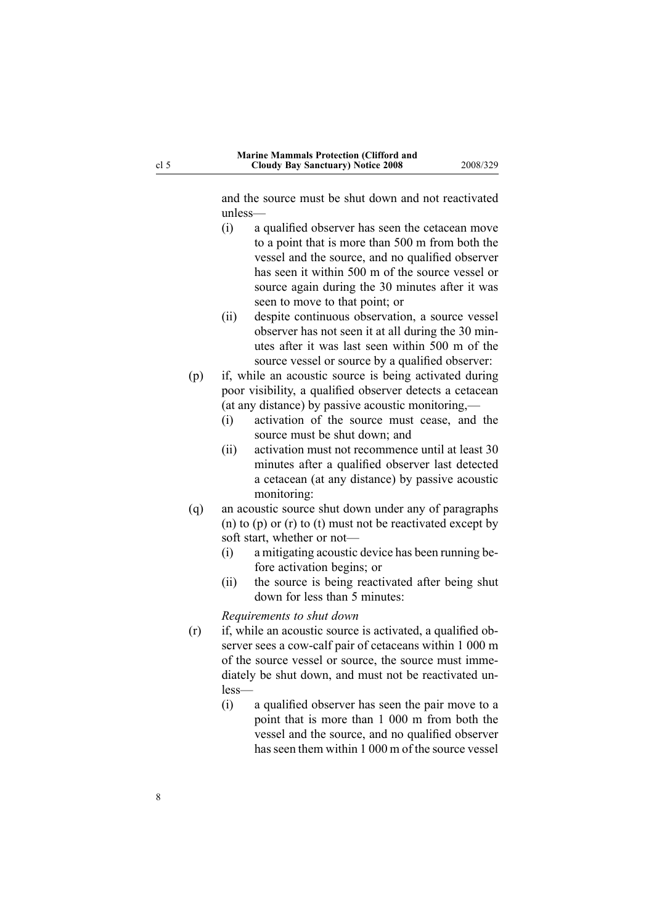and the source must be shut down and not reactivated unless—

- (i) <sup>a</sup> qualified observer has seen the cetacean move to <sup>a</sup> point that is more than <sup>500</sup> <sup>m</sup> from both the vessel and the source, and no qualified observer has seen it within <sup>500</sup> <sup>m</sup> of the source vessel or source again during the <sup>30</sup> minutes after it was seen to move to that point; or
- (ii) despite continuous observation, <sup>a</sup> source vessel observer has not seen it at all during the <sup>30</sup> minutes after it was last seen within <sup>500</sup> <sup>m</sup> of the source vessel or source by <sup>a</sup> qualified observer:
- (p) if, while an acoustic source is being activated during poor visibility, <sup>a</sup> qualified observer detects <sup>a</sup> cetacean (at any distance) by passive acoustic monitoring,—<br>(i) activation of the source must cease, and
	- activation of the source must cease, and the source must be shut down; and
	- (ii) activation must not recommence until at least <sup>30</sup> minutes after <sup>a</sup> qualified observer last detected <sup>a</sup> cetacean (at any distance) by passive acoustic monitoring:
- (q) an acoustic source shut down under any of paragraphs (n) to (p) or (r) to (t) must not be reactivated excep<sup>t</sup> by soft start, whether or not—<br>(i) a mitigating acoustic
	- a mitigating acoustic device has been running before activation begins; or
	- (ii) the source is being reactivated after being shut down for less than <sup>5</sup> minutes:

*Requirements to shut down*

- (r) if, while an acoustic source is activated, <sup>a</sup> qualified observer sees a cow-calf pair of cetaceans within 1 000 m of the source vessel or source, the source must immediately be shut down, and must not be reactivated unless—
	- (i) <sup>a</sup> qualified observer has seen the pair move to <sup>a</sup> point that is more than <sup>1</sup> <sup>000</sup> <sup>m</sup> from both the vessel and the source, and no qualified observer has seen them within <sup>1</sup> <sup>000</sup> <sup>m</sup> of the source vessel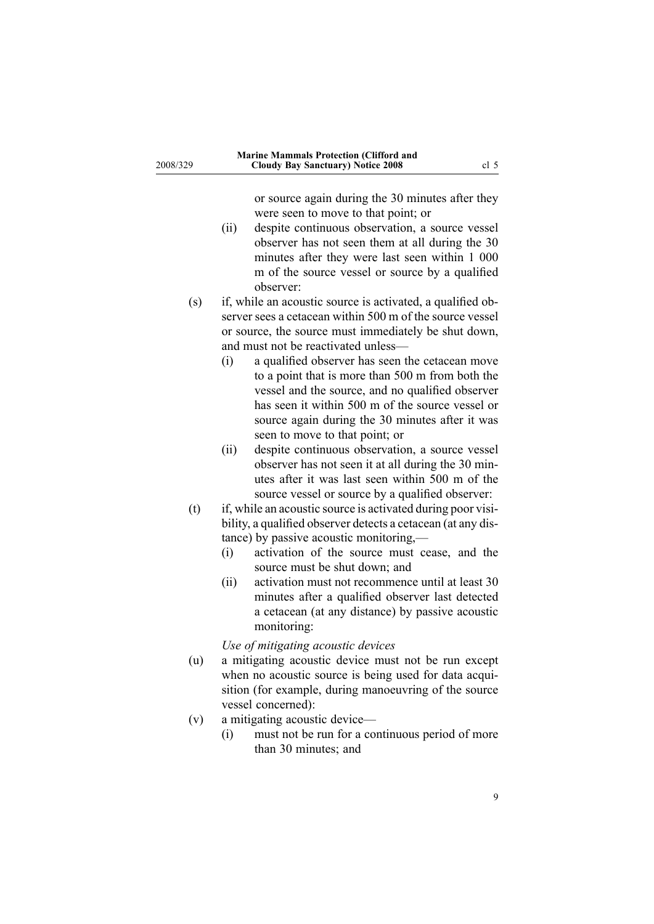| 2008/329 | <b>Marine Mammals Protection (Clifford and</b><br><b>Cloudy Bay Sanctuary) Notice 2008</b>                                                                                                                                                                                                                                                                                                                                                        | cl <sub>5</sub> |
|----------|---------------------------------------------------------------------------------------------------------------------------------------------------------------------------------------------------------------------------------------------------------------------------------------------------------------------------------------------------------------------------------------------------------------------------------------------------|-----------------|
|          | or source again during the 30 minutes after they<br>were seen to move to that point; or<br>despite continuous observation, a source vessel<br>(ii)<br>observer has not seen them at all during the 30<br>minutes after they were last seen within 1 000<br>m of the source vessel or source by a qualified<br>observer:                                                                                                                           |                 |
| (s)      | if, while an acoustic source is activated, a qualified ob-<br>server sees a cetacean within 500 m of the source vessel<br>or source, the source must immediately be shut down,<br>and must not be reactivated unless-                                                                                                                                                                                                                             |                 |
|          | (i)<br>a qualified observer has seen the cetacean move<br>to a point that is more than 500 m from both the<br>vessel and the source, and no qualified observer<br>has seen it within 500 m of the source vessel or<br>source again during the 30 minutes after it was<br>seen to move to that point; or                                                                                                                                           |                 |
|          | despite continuous observation, a source vessel<br>(ii)<br>observer has not seen it at all during the 30 min-<br>utes after it was last seen within 500 m of the<br>source vessel or source by a qualified observer:                                                                                                                                                                                                                              |                 |
| (t)      | if, while an acoustic source is activated during poor visi-<br>bility, a qualified observer detects a cetacean (at any dis-<br>tance) by passive acoustic monitoring,-<br>activation of the source must cease, and the<br>(i)<br>source must be shut down; and<br>activation must not recommence until at least 30<br>(ii)<br>minutes after a qualified observer last detected<br>a cetacean (at any distance) by passive acoustic<br>monitoring: |                 |
| (u)      | Use of mitigating acoustic devices<br>a mitigating acoustic device must not be run except<br>when no acoustic source is being used for data acqui-<br>sition (for example, during manoeuvring of the source<br>vessel concerned):                                                                                                                                                                                                                 |                 |
| (v)      | a mitigating acoustic device-<br>must not be run for a continuous period of more<br>(i)<br>than 30 minutes; and                                                                                                                                                                                                                                                                                                                                   |                 |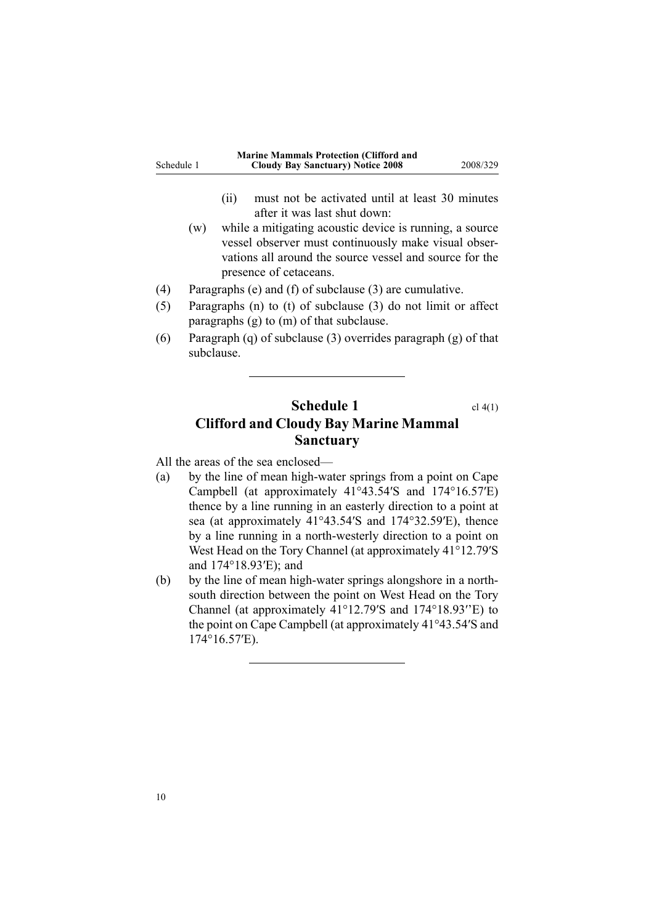<span id="page-9-0"></span>

|            | <b>Marine Mammals Protection (Clifford and</b> |          |
|------------|------------------------------------------------|----------|
| Schedule 1 | <b>Cloudy Bay Sanctuary</b> ) Notice 2008      | 2008/329 |
|            |                                                |          |

- (ii) must not be activated until at least <sup>30</sup> minutes after it was last shut down:
- (w) while <sup>a</sup> mitigating acoustic device is running, <sup>a</sup> source vessel observer must continuously make visual observations all around the source vessel and source for the presence of cetaceans.
- (4) Paragraphs (e) and (f) of subclause (3) are cumulative.<br>(5) Paragraphs (n) to (t) of subclause (3) do not limit or
- Paragraphs (n) to (t) of subclause (3) do not limit or affect paragraphs (g) to (m) of that subclause.
- (6) Paragraph (q) of subclause (3) overrides paragrap<sup>h</sup> (g) of that subclause.

## **Schedule 1** cl [4\(1\)](#page-2-0) **Clifford and Cloudy Bay Marine Mammal Sanctuary**

All the areas of the sea enclosed—<br>(a) by the line of mean high-way

- by the line of mean high-water springs from a point on Cape Campbell (at approximately 41°43.54′S and 174°16.57′E) thence by <sup>a</sup> line running in an easterly direction to <sup>a</sup> point at sea (at approximately 41°43.54′S and 174°32.59′E), thence by a line running in a north-westerly direction to a point on West Head on the Tory Channel (at approximately 41°12.79′S and 174°18.93′E); and
- (b) by the line of mean high-water springs alongshore in a northsouth direction between the point on West Head on the Tory Channel (at approximately 41°12.79′S and 174°18.93′'E) to the point on Cape Campbell (at approximately 41°43.54′S and 174°16.57′E).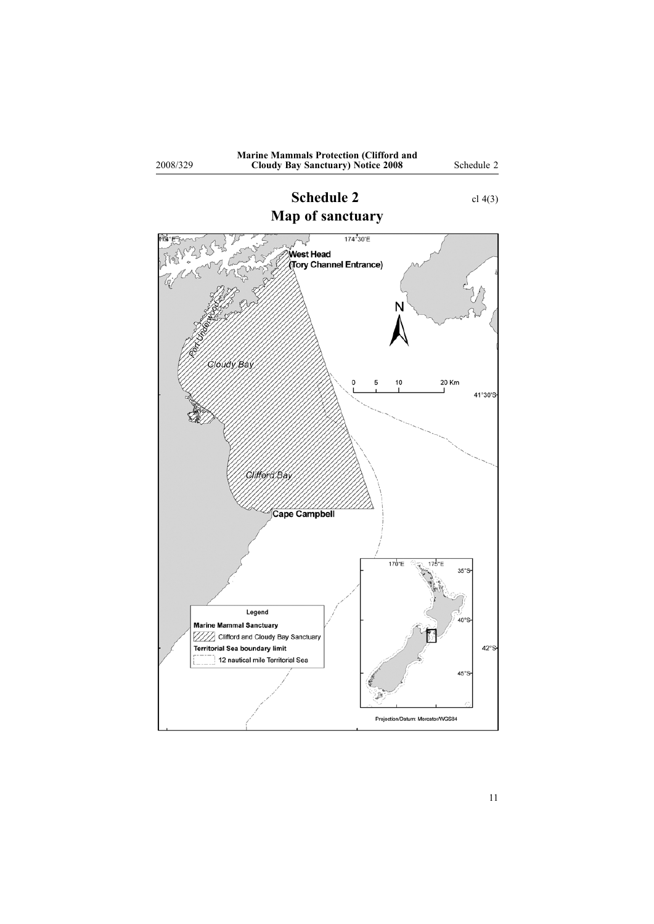<span id="page-10-0"></span>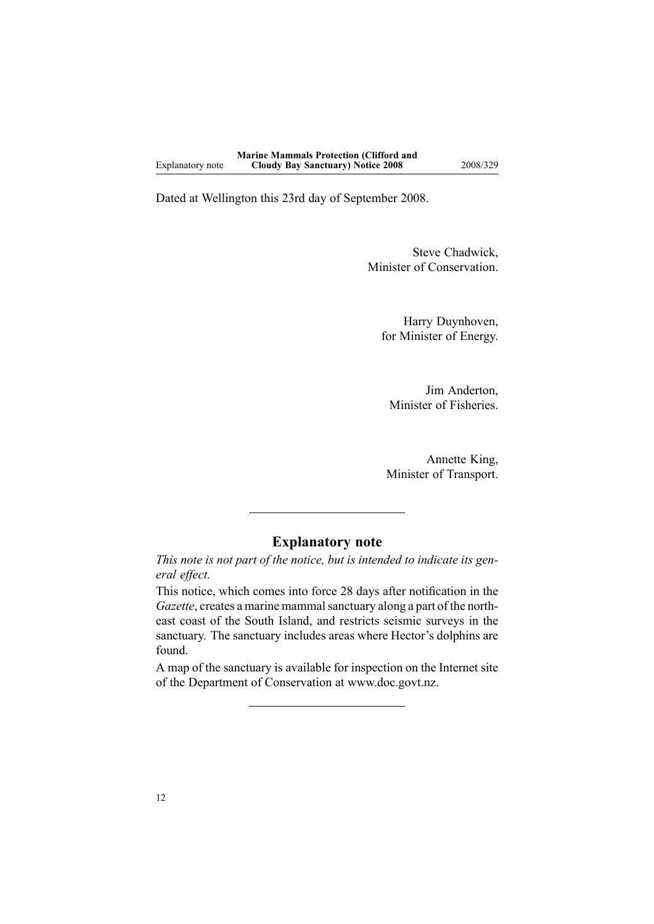Dated at Wellington this 23rd day of September 2008.

Steve Chadwick, Minister of Conservation.

Harry Duynhoven, for Minister of Energy.

Jim Anderton, Minister of Fisheries.

Annette King, Minister of Transport.

### **Explanatory note**

This note is not part of the notice, but is intended to indicate its gen*eral effect.*

This notice, which comes into force <sup>28</sup> days after notification in the *Gazette*, creates <sup>a</sup> marine mammal sanctuary along <sup>a</sup> par<sup>t</sup> of the northeast coast of the South Island, and restricts seismic surveys in the sanctuary. The sanctuary includes areas where Hector's dolphins are found.

<sup>A</sup> map of the sanctuary is available for inspection on the Internet site of the Department of Conservation at www.doc.govt.nz.